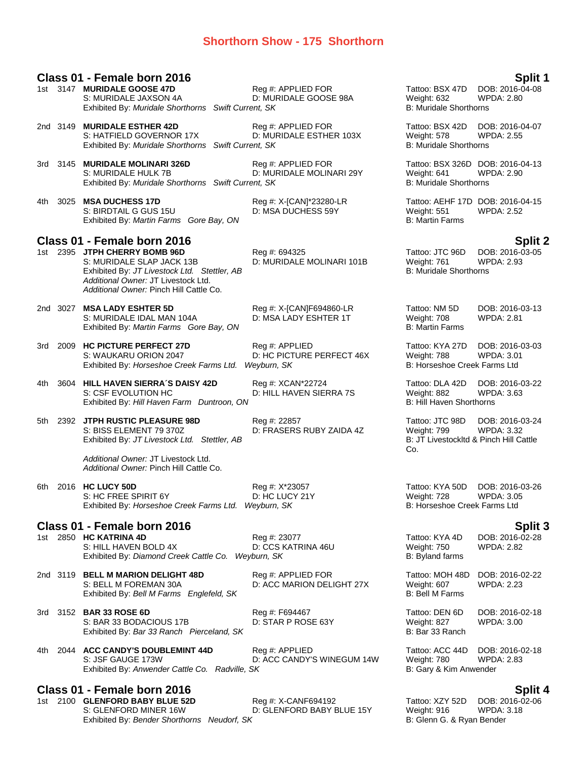# **Shorthorn Show - 175 Shorthorn**

|      | Class 01 - Female born 2016                                                                                                                                                                  |                                                            |                                                                                  | Split 1                                                |
|------|----------------------------------------------------------------------------------------------------------------------------------------------------------------------------------------------|------------------------------------------------------------|----------------------------------------------------------------------------------|--------------------------------------------------------|
|      | 1st 3147 MURIDALE GOOSE 47D<br>S: MURIDALE JAXSON 4A<br>Exhibited By: Muridale Shorthorns Swift Current, SK                                                                                  | Reg #: APPLIED FOR<br>D: MURIDALE GOOSE 98A                | Tattoo: BSX 47D<br>Weight: 632<br><b>B: Muridale Shorthorns</b>                  | DOB: 2016-04-08<br><b>WPDA: 2.80</b>                   |
|      | 2nd 3149 MURIDALE ESTHER 42D<br>S: HATFIELD GOVERNOR 17X<br>Exhibited By: Muridale Shorthorns Swift Current, SK                                                                              | Reg #: APPLIED FOR<br>D: MURIDALE ESTHER 103X              | Tattoo: BSX 42D<br>Weight: 578<br><b>B: Muridale Shorthorns</b>                  | DOB: 2016-04-07<br><b>WPDA: 2.55</b>                   |
|      | 3rd 3145 MURIDALE MOLINARI 326D<br>S: MURIDALE HULK 7B<br>Exhibited By: Muridale Shorthorns Swift Current, SK                                                                                | Reg #: APPLIED FOR<br>D: MURIDALE MOLINARI 29Y             | Tattoo: BSX 326D DOB: 2016-04-13<br>Weight: 641<br><b>B: Muridale Shorthorns</b> | WPDA: 2.90                                             |
| 4th  | 3025 MSA DUCHESS 17D<br>S: BIRDTAIL G GUS 15U<br>Exhibited By: Martin Farms Gore Bay, ON                                                                                                     | Reg #: X-[CAN]*23280-LR<br>D: MSA DUCHESS 59Y              | Tattoo: AEHF 17D DOB: 2016-04-15<br>Weight: 551<br><b>B: Martin Farms</b>        | <b>WPDA: 2.52</b>                                      |
|      | Class 01 - Female born 2016                                                                                                                                                                  |                                                            |                                                                                  |                                                        |
|      | 1st 2395 JTPH CHERRY BOMB 96D<br>S: MURIDALE SLAP JACK 13B<br>Exhibited By: JT Livestock Ltd. Stettler, AB<br>Additional Owner: JT Livestock Ltd.<br>Additional Owner: Pinch Hill Cattle Co. | Reg #: 694325<br>D: MURIDALE MOLINARI 101B                 | Tattoo: JTC 96D<br>Weight: 761<br><b>B: Muridale Shorthorns</b>                  | <b>Split 2</b><br>DOB: 2016-03-05<br><b>WPDA: 2.93</b> |
|      | 2nd 3027 MSA LADY ESHTER 5D<br>S: MURIDALE IDAL MAN 104A<br>Exhibited By: Martin Farms Gore Bay, ON                                                                                          | Reg #: X-[CAN]F694860-LR<br>D: MSA LADY ESHTER 1T          | Tattoo: NM 5D<br>Weight: 708<br><b>B: Martin Farms</b>                           | DOB: 2016-03-13<br><b>WPDA: 2.81</b>                   |
| 3rd. | 2009 HC PICTURE PERFECT 27D<br>S: WAUKARU ORION 2047<br>Exhibited By: Horseshoe Creek Farms Ltd.                                                                                             | Reg #: APPLIED<br>D: HC PICTURE PERFECT 46X<br>Weyburn, SK | Tattoo: KYA 27D<br>Weight: 788<br>B: Horseshoe Creek Farms Ltd                   | DOB: 2016-03-03<br><b>WPDA: 3.01</b>                   |
| 4th  | 3604 HILL HAVEN SIERRA'S DAISY 42D<br>S: CSF EVOLUTION HC<br>Exhibited By: Hill Haven Farm Duntroon, ON                                                                                      | Reg #: XCAN*22724<br>D: HILL HAVEN SIERRA 7S               | Tattoo: DLA 42D<br>Weight: 882<br><b>B: Hill Haven Shorthorns</b>                | DOB: 2016-03-22<br>WPDA: 3.63                          |
| 5th  | 2392 JTPH RUSTIC PLEASURE 98D<br>S: BISS ELEMENT 79 370Z<br>Exhibited By: JT Livestock Ltd. Stettler, AB                                                                                     | Reg #: 22857<br>D: FRASERS RUBY ZAIDA 4Z                   | Tattoo: JTC 98D<br>Weight: 799<br>B: JT LivestockItd & Pinch Hill Cattle<br>Co.  | DOB: 2016-03-24<br><b>WPDA: 3.32</b>                   |
|      | Additional Owner: JT Livestock Ltd.<br>Additional Owner: Pinch Hill Cattle Co.                                                                                                               |                                                            |                                                                                  |                                                        |
| 6th  | 2016 HC LUCY 50D<br>S: HC FREE SPIRIT 6Y<br>Exhibited By: Horseshoe Creek Farms Ltd. Weyburn, SK                                                                                             | Reg #: X*23057<br>D: HC LUCY 21Y                           | Tattoo: KYA 50D<br>Weight: 728<br>B: Horseshoe Creek Farms Ltd                   | DOB: 2016-03-26<br>WPDA: 3.05                          |
|      | Class 01 - Female born 2016                                                                                                                                                                  |                                                            |                                                                                  | Split 3                                                |
| 1st  | 2850 HC KATRINA 4D<br>S: HILL HAVEN BOLD 4X<br>Exhibited By: Diamond Creek Cattle Co. Weyburn, SK                                                                                            | Reg #: 23077<br>D: CCS KATRINA 46U                         | Tattoo: KYA 4D<br><b>Weight: 750</b><br>B: Byland farms                          | DOB: 2016-02-28<br><b>WPDA: 2.82</b>                   |
|      | 2nd 3119 BELL M MARION DELIGHT 48D<br>S: BELL M FOREMAN 30A<br>Exhibited By: Bell M Farms Englefeld, SK                                                                                      | Reg #: APPLIED FOR<br>D: ACC MARION DELIGHT 27X            | Tattoo: MOH 48D<br>Weight: 607<br><b>B: Bell M Farms</b>                         | DOB: 2016-02-22<br>WPDA: 2.23                          |
|      | 3rd 3152 BAR 33 ROSE 6D<br>S: BAR 33 BODACIOUS 17B<br>Exhibited By: Bar 33 Ranch Pierceland, SK                                                                                              | Reg #: F694467<br>D: STAR P ROSE 63Y                       | Tattoo: DEN 6D<br>Weight: 827<br>B: Bar 33 Ranch                                 | DOB: 2016-02-18<br><b>WPDA: 3.00</b>                   |
| 4th. | 2044 ACC CANDY'S DOUBLEMINT 44D<br>S: JSF GAUGE 173W<br>Exhibited By: Anwender Cattle Co. Radville, SK                                                                                       | Reg #: APPLIED<br>D: ACC CANDY'S WINEGUM 14W               | Tattoo: ACC 44D<br>Weight: 780<br>B: Gary & Kim Anwender                         | DOB: 2016-02-18<br>WPDA: 2.83                          |
|      | Class 01 - Female born 2016                                                                                                                                                                  |                                                            |                                                                                  | Split 4                                                |
| 1st. | 2100 GLENFORD BABY BLUE 52D<br>S: GLENFORD MINER 16W<br>Exhibited By: Bender Shorthorns Neudorf, SK                                                                                          | Reg #: X-CANF694192<br>D: GLENFORD BABY BLUE 15Y           | Tattoo: XZY 52D<br>Weight: 916<br>B: Glenn G. & Ryan Bender                      | DOB: 2016-02-06<br><b>WPDA: 3.18</b>                   |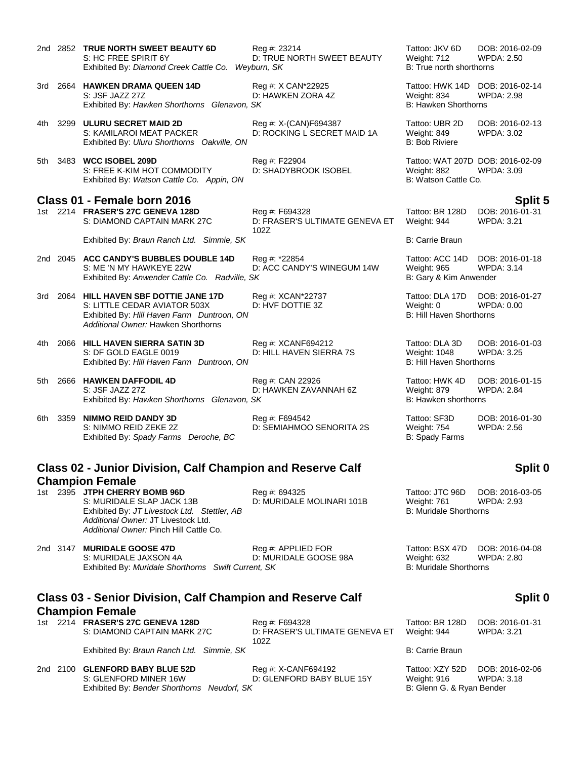|     |      | 2nd 2852 TRUE NORTH SWEET BEAUTY 6D<br>S: HC FREE SPIRIT 6Y<br>Exhibited By: Diamond Creek Cattle Co.                                                                                        | Reg #: 23214<br>D: TRUE NORTH SWEET BEAUTY<br>Weyburn, SK | Tattoo: JKV 6D<br>Weight: 712<br>B: True north shorthorns               | DOB: 2016-02-09<br><b>WPDA: 2.50</b> |
|-----|------|----------------------------------------------------------------------------------------------------------------------------------------------------------------------------------------------|-----------------------------------------------------------|-------------------------------------------------------------------------|--------------------------------------|
|     |      | 3rd 2664 HAWKEN DRAMA QUEEN 14D<br>S: JSF JAZZ 27Z<br>Exhibited By: Hawken Shorthorns Glenavon, SK                                                                                           | Reg #: X CAN*22925<br>D: HAWKEN ZORA 4Z                   | Tattoo: HWK 14D<br>Weight: 834<br>B: Hawken Shorthorns                  | DOB: 2016-02-14<br><b>WPDA: 2.98</b> |
| 4th |      | 3299 ULURU SECRET MAID 2D<br>S: KAMILAROI MEAT PACKER<br>Exhibited By: Uluru Shorthorns Oakville, ON                                                                                         | Reg #: X-(CAN)F694387<br>D: ROCKING L SECRET MAID 1A      | Tattoo: UBR 2D<br>Weight: 849<br><b>B: Bob Riviere</b>                  | DOB: 2016-02-13<br>WPDA: 3.02        |
| 5th |      | 3483 WCC ISOBEL 209D<br>S: FREE K-KIM HOT COMMODITY<br>Exhibited By: Watson Cattle Co. Appin, ON                                                                                             | Reg #: F22904<br>D: SHADYBROOK ISOBEL                     | Tattoo: WAT 207D DOB: 2016-02-09<br>Weight: 882<br>B: Watson Cattle Co. | <b>WPDA: 3.09</b>                    |
|     |      | Class 01 - Female born 2016                                                                                                                                                                  |                                                           |                                                                         | <b>Split 5</b>                       |
|     |      | 1st 2214 FRASER'S 27C GENEVA 128D<br>S: DIAMOND CAPTAIN MARK 27C                                                                                                                             | Reg #: F694328<br>D: FRASER'S ULTIMATE GENEVA ET<br>102Z  | Tattoo: BR 128D<br>Weight: 944                                          | DOB: 2016-01-31<br><b>WPDA: 3.21</b> |
|     |      | Exhibited By: Braun Ranch Ltd. Simmie, SK                                                                                                                                                    |                                                           | <b>B: Carrie Braun</b>                                                  |                                      |
|     |      | 2nd 2045 ACC CANDY'S BUBBLES DOUBLE 14D<br>S: ME 'N MY HAWKEYE 22W<br>Exhibited By: Anwender Cattle Co. Radville, SK                                                                         | Reg #: *22854<br>D: ACC CANDY'S WINEGUM 14W               | Tattoo: ACC 14D<br>Weight: 965<br>B: Gary & Kim Anwender                | DOB: 2016-01-18<br><b>WPDA: 3.14</b> |
| 3rd |      | 2064 HILL HAVEN SBF DOTTIE JANE 17D<br>S: LITTLE CEDAR AVIATOR 503X<br>Exhibited By: Hill Haven Farm Duntroon, ON<br>Additional Owner: Hawken Shorthorns                                     | Reg #: XCAN*22737<br>D: HVF DOTTIE 3Z                     | Tattoo: DLA 17D<br>Weight: 0<br><b>B: Hill Haven Shorthorns</b>         | DOB: 2016-01-27<br><b>WPDA: 0.00</b> |
| 4th |      | 2066 HILL HAVEN SIERRA SATIN 3D<br>S: DF GOLD EAGLE 0019<br>Exhibited By: Hill Haven Farm Duntroon, ON                                                                                       | Reg #: XCANF694212<br>D: HILL HAVEN SIERRA 7S             | Tattoo: DLA 3D<br>Weight: 1048<br><b>B: Hill Haven Shorthorns</b>       | DOB: 2016-01-03<br><b>WPDA: 3.25</b> |
| 5th |      | 2666 HAWKEN DAFFODIL 4D<br>S: JSF JAZZ 27Z<br>Exhibited By: Hawken Shorthorns Glenavon, SK                                                                                                   | Reg #: CAN 22926<br>D: HAWKEN ZAVANNAH 6Z                 | Tattoo: HWK 4D<br>Weight: 879<br>B: Hawken shorthorns                   | DOB: 2016-01-15<br><b>WPDA: 2.84</b> |
| 6th | 3359 | <b>NIMMO REID DANDY 3D</b><br>S: NIMMO REID ZEKE 2Z<br>Exhibited By: Spady Farms Deroche, BC                                                                                                 | Reg #: F694542<br>D: SEMIAHMOO SENORITA 2S                | Tattoo: SF3D<br>Weight: 754<br><b>B: Spady Farms</b>                    | DOB: 2016-01-30<br><b>WPDA: 2.56</b> |
|     |      | <b>Class 02 - Junior Division, Calf Champion and Reserve Calf</b>                                                                                                                            |                                                           |                                                                         | Split 0                              |
|     |      | <b>Champion Female</b>                                                                                                                                                                       |                                                           |                                                                         |                                      |
|     |      | 1st 2395 JTPH CHERRY BOMB 96D<br>S: MURIDALE SLAP JACK 13B<br>Exhibited By: JT Livestock Ltd. Stettler, AB<br>Additional Owner: JT Livestock Ltd.<br>Additional Owner: Pinch Hill Cattle Co. | Reg #: 694325<br>D: MURIDALE MOLINARI 101B                | Tattoo: JTC 96D<br>Weight: 761<br><b>B: Muridale Shorthorns</b>         | DOB: 2016-03-05<br><b>WPDA: 2.93</b> |
|     |      | 2nd 3147 MURIDALE GOOSE 47D<br>S: MURIDALE JAXSON 4A<br>Exhibited By: Muridale Shorthorns Swift Current, SK                                                                                  | Reg #: APPLIED FOR<br>D: MURIDALE GOOSE 98A               | Tattoo: BSX 47D<br>Weight: 632<br><b>B: Muridale Shorthorns</b>         | DOB: 2016-04-08<br>WPDA: 2.80        |
|     |      | <b>Class 03 - Senior Division, Calf Champion and Reserve Calf</b><br><b>Champion Female</b>                                                                                                  |                                                           |                                                                         | Split 0                              |

1st 2214 **FRASER'S 27C GENEVA 128D** Reg #: F694328 Tattoo: BR 128D DOB: 2016-01-31<br>S: DIAMOND CAPTAIN MARK 27C D: FRASER'S ULTIMATE GENEVA ET Weight: 944 WPDA: 3.21

D: FRASER'S ULTIMATE GENEVA ET 102Z

Exhibited By: *Braun Ranch Ltd. Simmie, SK* B: Carrie Braun B: Carrie Braun

2nd 2100 **GLENFORD BABY BLUE 52D** Reg #: X-CANF694192 Tattoo: XZY 52D DOB: 2016-02-06<br>S: GLENFORD MINER 16W D: GLENFORD BABY BLUE 15Y Weight: 916 WPDA: 3.18 Exhibited By: Bender Shorthorns Neudorf, SK

D: GLENFORD BABY BLUE 15Y Weight: 916 WPDA: 3<br>S: Glenn G. & Ryan Bender

WPDA: 3.21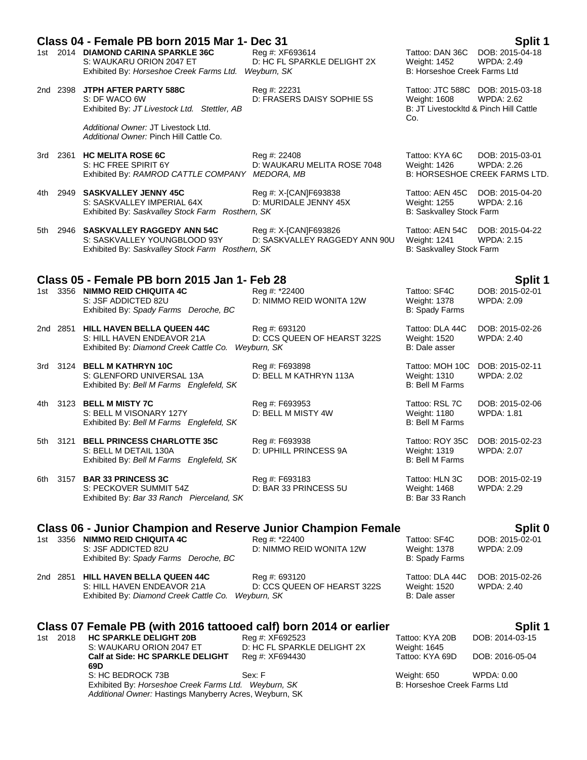|       |          | Class 04 - Female PB born 2015 Mar 1- Dec 31                                                                                                    |                                                             |                                                                    | Split 1                                                                                         |
|-------|----------|-------------------------------------------------------------------------------------------------------------------------------------------------|-------------------------------------------------------------|--------------------------------------------------------------------|-------------------------------------------------------------------------------------------------|
|       |          | 1st 2014 DIAMOND CARINA SPARKLE 36C<br>S: WAUKARU ORION 2047 ET<br>Exhibited By: Horseshoe Creek Farms Ltd. Weyburn, SK                         | Reg #: XF693614<br>D: HC FL SPARKLE DELIGHT 2X              | Tattoo: DAN 36C<br>Weight: 1452<br>B: Horseshoe Creek Farms Ltd    | DOB: 2015-04-18<br><b>WPDA: 2.49</b>                                                            |
|       |          | 2nd 2398 JTPH AFTER PARTY 588C<br>S: DF WACO 6W<br>Exhibited By: JT Livestock Ltd. Stettler, AB                                                 | Reg #: 22231<br>D: FRASERS DAISY SOPHIE 5S                  | <b>Weight: 1608</b><br>Co.                                         | Tattoo: JTC 588C DOB: 2015-03-18<br><b>WPDA: 2.62</b><br>B: JT LivestockItd & Pinch Hill Cattle |
|       |          | Additional Owner: JT Livestock Ltd.<br>Additional Owner: Pinch Hill Cattle Co.                                                                  |                                                             |                                                                    |                                                                                                 |
|       |          | 3rd 2361 HC MELITA ROSE 6C<br>S: HC FREE SPIRIT 6Y<br>Exhibited By: RAMROD CATTLE COMPANY MEDORA, MB                                            | Reg #: 22408<br>D: WAUKARU MELITA ROSE 7048                 | Tattoo: KYA 6C<br>Weight: 1426                                     | DOB: 2015-03-01<br><b>WPDA: 2.26</b><br><b>B: HORSESHOE CREEK FARMS LTD.</b>                    |
| 4th l |          | 2949 SASKVALLEY JENNY 45C<br>S: SASKVALLEY IMPERIAL 64X<br>Exhibited By: Saskvalley Stock Farm Rosthern, SK                                     | Reg #: X-[CAN]F693838<br>D: MURIDALE JENNY 45X              | Tattoo: AEN 45C<br>Weight: 1255<br>B: Saskvalley Stock Farm        | DOB: 2015-04-20<br><b>WPDA: 2.16</b>                                                            |
|       |          | 5th 2946 SASKVALLEY RAGGEDY ANN 54C<br>S: SASKVALLEY YOUNGBLOOD 93Y<br>Exhibited By: Saskvalley Stock Farm Rosthern, SK                         | Reg #: X-[CAN]F693826<br>D: SASKVALLEY RAGGEDY ANN 90U      | Tattoo: AEN 54C<br><b>Weight: 1241</b><br>B: Saskvalley Stock Farm | DOB: 2015-04-22<br><b>WPDA: 2.15</b>                                                            |
|       |          |                                                                                                                                                 |                                                             |                                                                    |                                                                                                 |
|       |          | Class 05 - Female PB born 2015 Jan 1- Feb 28<br>1st 3356 NIMMO REID CHIQUITA 4C<br>S: JSF ADDICTED 82U<br>Exhibited By: Spady Farms Deroche, BC | Reg #: *22400<br>D: NIMMO REID WONITA 12W                   | Tattoo: SF4C<br>Weight: 1378<br><b>B: Spady Farms</b>              | Split 1<br>DOB: 2015-02-01<br>WPDA: 2.09                                                        |
|       |          | 2nd 2851 HILL HAVEN BELLA QUEEN 44C<br>S: HILL HAVEN ENDEAVOR 21A<br>Exhibited By: Diamond Creek Cattle Co.                                     | Reg #: 693120<br>D: CCS QUEEN OF HEARST 322S<br>Weyburn, SK | Tattoo: DLA 44C<br>Weight: 1520<br>B: Dale asser                   | DOB: 2015-02-26<br><b>WPDA: 2.40</b>                                                            |
|       |          | 3rd 3124 BELL M KATHRYN 10C<br>S: GLENFORD UNIVERSAL 13A<br>Exhibited By: Bell M Farms Englefeld, SK                                            | Reg #: F693898<br>D: BELL M KATHRYN 113A                    | Tattoo: MOH 10C<br>Weight: 1310<br><b>B: Bell M Farms</b>          | DOB: 2015-02-11<br><b>WPDA: 2.02</b>                                                            |
| 4th l |          | 3123 BELL M MISTY 7C<br>S: BELL M VISONARY 127Y<br>Exhibited By: Bell M Farms Englefeld, SK                                                     | Reg #: F693953<br>D: BELL M MISTY 4W                        | Tattoo: RSL 7C<br>Weight: 1180<br>B: Bell M Farms                  | DOB: 2015-02-06<br><b>WPDA: 1.81</b>                                                            |
|       | 5th 3121 | <b>BELL PRINCESS CHARLOTTE 35C</b><br>S: BELL M DETAIL 130A<br>Exhibited By: Bell M Farms Englefeld, SK                                         | Reg #: F693938<br>D: UPHILL PRINCESS 9A                     | Tattoo: ROY 35C<br>Weight: 1319<br>B: Bell M Farms                 | DOB: 2015-02-23<br><b>WPDA: 2.07</b>                                                            |
| 6th.  |          | 3157 <b>BAR 33 PRINCESS 3C</b><br>S: PECKOVER SUMMIT 54Z<br>Exhibited By: Bar 33 Ranch Pierceland, SK                                           | Reg #: F693183<br>D: BAR 33 PRINCESS 5U                     | Tattoo: HLN 3C<br>Weight: 1468<br>B: Bar 33 Ranch                  | DOB: 2015-02-19<br><b>WPDA: 2.29</b>                                                            |
|       |          | <b>Class 06 - Junior Champion and Reserve Junior Champion Female</b>                                                                            |                                                             |                                                                    | Split 0                                                                                         |
|       |          | 1st 3356 NIMMO REID CHIQUITA 4C<br>S: JSF ADDICTED 82U<br>Exhibited By: Spady Farms Deroche, BC                                                 | Rea #: *22400<br>D: NIMMO REID WONITA 12W                   | Tattoo: SF4C<br>Weight: 1378<br><b>B: Spady Farms</b>              | DOB: 2015-02-01<br>WPDA: 2.09                                                                   |
|       |          | 2nd 2851 HILL HAVEN BELLA QUEEN 44C<br>S: HILL HAVEN ENDEAVOR 21A<br>Exhibited By: Diamond Creek Cattle Co.                                     | Reg #: 693120<br>D: CCS QUEEN OF HEARST 322S<br>Weyburn, SK | Tattoo: DLA 44C<br>Weight: 1520<br>B: Dale asser                   | DOB: 2015-02-26<br><b>WPDA: 2.40</b>                                                            |
|       |          | Class 07 Female PB (with 2016 tattooed calf) born 2014 or earlier                                                                               |                                                             |                                                                    | Split 1                                                                                         |
|       | 1st 2018 | <b>HC SPARKLE DELIGHT 20B</b><br>S: WAUKARU ORION 2047 ET                                                                                       | Reg #: XF692523<br>D: HC FL SPARKLE DELIGHT 2X              | Tattoo: KYA 20B<br>Weight: 1645                                    | DOB: 2014-03-15                                                                                 |
|       |          | Calf at Side: HC SPARKLE DELIGHT<br>69D                                                                                                         | Reg #: XF694430                                             | Tattoo: KYA 69D                                                    | DOB: 2016-05-04                                                                                 |
|       |          | S: HC BEDROCK 73B<br>Exhibited By: Horseshoe Creek Farms Ltd. Weyburn, SK<br>Additional Owner: Hastings Manyberry Acres, Weyburn, SK            | Sex: F                                                      | Weight: 650<br>B: Horseshoe Creek Farms Ltd                        | WPDA: 0.00                                                                                      |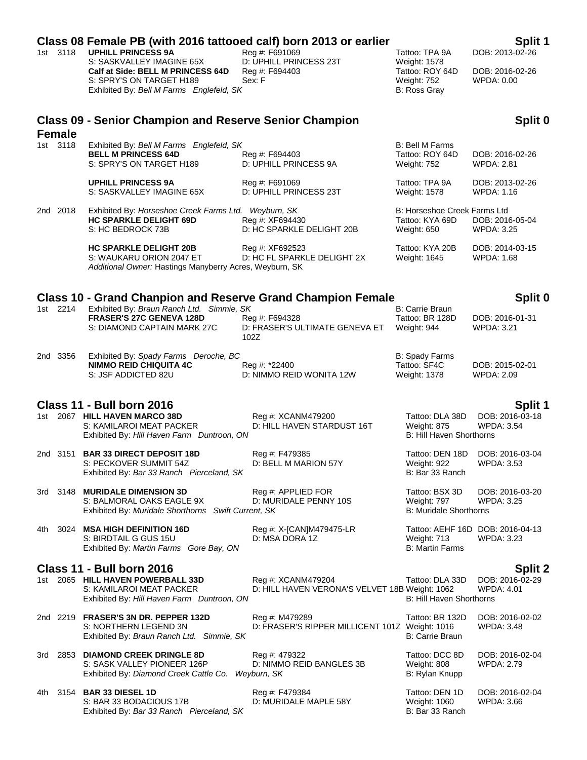|     | 1st 3118      | Class 08 Female PB (with 2016 tattooed calf) born 2013 or earlier<br><b>UPHILL PRINCESS 9A</b><br>S: SASKVALLEY IMAGINE 65X | Rea #: F691069                                                       | Tattoo: TPA 9A                                                        | Split 1<br>DOB: 2013-02-26                            |
|-----|---------------|-----------------------------------------------------------------------------------------------------------------------------|----------------------------------------------------------------------|-----------------------------------------------------------------------|-------------------------------------------------------|
|     |               | Calf at Side: BELL M PRINCESS 64D<br>S: SPRY'S ON TARGET H189<br>Exhibited By: Bell M Farms Englefeld, SK                   | D: UPHILL PRINCESS 23T<br>Reg #: F694403<br>Sex: F                   | <b>Weight: 1578</b><br>Tattoo: ROY 64D<br>Weight: 752<br>B: Ross Gray | DOB: 2016-02-26<br><b>WPDA: 0.00</b>                  |
|     | <b>Female</b> | <b>Class 09 - Senior Champion and Reserve Senior Champion</b>                                                               |                                                                      |                                                                       | Split 0                                               |
|     | 1st 3118      | Exhibited By: Bell M Farms Englefeld, SK<br><b>BELL M PRINCESS 64D</b><br>S: SPRY'S ON TARGET H189                          | Reg #: F694403<br>D: UPHILL PRINCESS 9A                              | <b>B: Bell M Farms</b><br>Tattoo: ROY 64D<br><b>Weight: 752</b>       | DOB: 2016-02-26<br>WPDA: 2.81                         |
|     |               | <b>UPHILL PRINCESS 9A</b><br>S: SASKVALLEY IMAGINE 65X                                                                      | Reg #: F691069<br>D: UPHILL PRINCESS 23T                             | Tattoo: TPA 9A<br>Weight: 1578                                        | DOB: 2013-02-26<br>WPDA: 1.16                         |
|     | 2nd 2018      | Exhibited By: Horseshoe Creek Farms Ltd. Weyburn, SK<br><b>HC SPARKLE DELIGHT 69D</b><br>S: HC BEDROCK 73B                  | Reg #: XF694430<br>D: HC SPARKLE DELIGHT 20B                         | B: Horseshoe Creek Farms Ltd<br>Tattoo: KYA 69D<br>Weight: 650        | DOB: 2016-05-04<br>WPDA: 3.25                         |
|     |               | <b>HC SPARKLE DELIGHT 20B</b><br>S: WAUKARU ORION 2047 ET<br>Additional Owner: Hastings Manyberry Acres, Weyburn, SK        | Reg #: XF692523<br>D: HC FL SPARKLE DELIGHT 2X                       | Tattoo: KYA 20B<br>Weight: 1645                                       | DOB: 2014-03-15<br><b>WPDA: 1.68</b>                  |
|     |               | <b>Class 10 - Grand Chanpion and Reserve Grand Champion Female</b>                                                          |                                                                      |                                                                       | Split 0                                               |
|     | 1st 2214      | Exhibited By: Braun Ranch Ltd. Simmie, SK<br><b>FRASER'S 27C GENEVA 128D</b><br>S: DIAMOND CAPTAIN MARK 27C                 | Reg #: F694328<br>D: FRASER'S ULTIMATE GENEVA ET<br>102Z             | <b>B: Carrie Braun</b><br>Tattoo: BR 128D<br>Weight: 944              | DOB: 2016-01-31<br><b>WPDA: 3.21</b>                  |
|     | 2nd 3356      | Exhibited By: Spady Farms Deroche, BC<br><b>NIMMO REID CHIQUITA 4C</b><br>S: JSF ADDICTED 82U                               | Reg #: *22400<br>D: NIMMO REID WONITA 12W                            | B: Spady Farms<br>Tattoo: SF4C<br><b>Weight: 1378</b>                 | DOB: 2015-02-01<br><b>WPDA: 2.09</b>                  |
|     |               | <b>Class 11 - Bull born 2016</b>                                                                                            |                                                                      |                                                                       | Split 1                                               |
|     |               | 1st 2067 HILL HAVEN MARCO 38D<br>S: KAMILAROI MEAT PACKER<br>Exhibited By: Hill Haven Farm Duntroon, ON                     | Reg #: XCANM479200<br>D: HILL HAVEN STARDUST 16T                     | Tattoo: DLA 38D<br>Weight: 875<br>B: Hill Haven Shorthorns            | DOB: 2016-03-18<br><b>WPDA: 3.54</b>                  |
|     |               | 2nd 3151 <b>BAR 33 DIRECT DEPOSIT 18D</b><br>S: PECKOVER SUMMIT 54Z<br>Exhibited By: Bar 33 Ranch Pierceland, SK            | Reg #: F479385<br>D: BELL M MARION 57Y                               | Weight: 922<br>B: Bar 33 Ranch                                        | Tattoo: DEN 18D DOB: 2016-03-04<br>WPDA: 3.53         |
|     |               | 3rd 3148 MURIDALE DIMENSION 3D<br>S: BALMORAL OAKS EAGLE 9X<br>Exhibited By: Muridale Shorthorns Swift Current, SK          | Reg #: APPLIED FOR<br>D: MURIDALE PENNY 10S                          | Tattoo: BSX 3D<br>Weight: 797<br><b>B: Muridale Shorthorns</b>        | DOB: 2016-03-20<br>WPDA: 3.25                         |
| 4th |               | 3024 MSA HIGH DEFINITION 16D<br>S: BIRDTAIL G GUS 15U<br>Exhibited By: Martin Farms Gore Bay, ON                            | Reg #: X-[CAN]M479475-LR<br>D: MSA DORA 1Z                           | Weight: 713<br><b>B: Martin Farms</b>                                 | Tattoo: AEHF 16D DOB: 2016-04-13<br><b>WPDA: 3.23</b> |
|     |               | Class 11 - Bull born 2016                                                                                                   |                                                                      |                                                                       | Split 2                                               |
|     |               | 1st 2065 HILL HAVEN POWERBALL 33D<br>S: KAMILAROI MEAT PACKER<br>Exhibited By: Hill Haven Farm Duntroon, ON                 | Reg #: XCANM479204<br>D: HILL HAVEN VERONA'S VELVET 18B Weight: 1062 | Tattoo: DLA 33D<br>B: Hill Haven Shorthorns                           | DOB: 2016-02-29<br><b>WPDA: 4.01</b>                  |
|     |               | 2nd 2219 FRASER'S 3N DR. PEPPER 132D<br>S: NORTHERN LEGEND 3N<br>Exhibited By: Braun Ranch Ltd. Simmie, SK                  | Reg #: M479289<br>D: FRASER'S RIPPER MILLICENT 101Z Weight: 1016     | Tattoo: BR 132D<br>B: Carrie Braun                                    | DOB: 2016-02-02<br>WPDA: 3.48                         |
|     |               | 3rd 2853 DIAMOND CREEK DRINGLE 8D<br>S: SASK VALLEY PIONEER 126P<br>Exhibited By: Diamond Creek Cattle Co.                  | Reg #: 479322<br>D: NIMMO REID BANGLES 3B<br>Weyburn, SK             | Tattoo: DCC 8D<br>Weight: 808<br>B: Rylan Knupp                       | DOB: 2016-02-04<br>WPDA: 2.79                         |
|     |               | 4th 3154 BAR 33 DIESEL 1D<br>S: BAR 33 BODACIOUS 17B<br>Exhibited By: Bar 33 Ranch Pierceland, SK                           | Reg #: F479384<br>D: MURIDALE MAPLE 58Y                              | Tattoo: DEN 1D<br>Weight: 1060<br>B: Bar 33 Ranch                     | DOB: 2016-02-04<br><b>WPDA: 3.66</b>                  |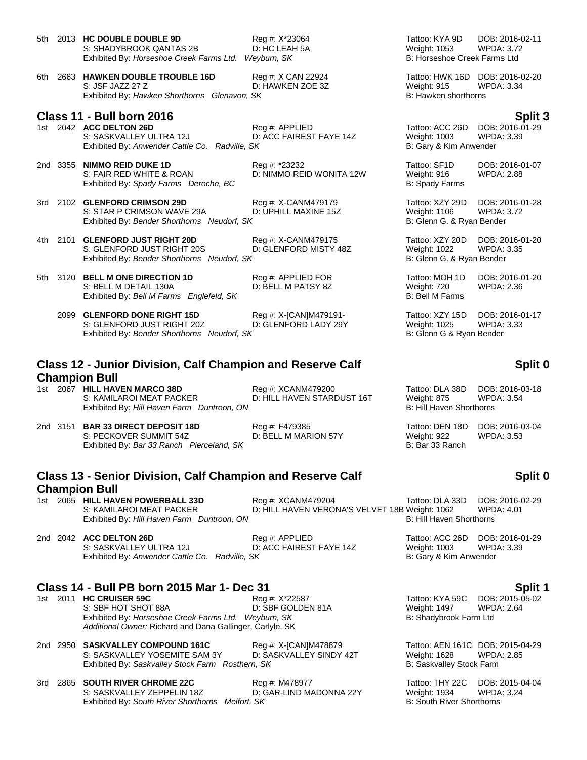| 5th | 2013 HC DOUBLE DOUBLE 9D<br>S: SHADYBROOK QANTAS 2B<br>Exhibited By: Horseshoe Creek Farms Ltd.           | Reg #: X*23064<br>D: HC LEAH 5A<br>Weyburn, SK | Tattoo: KYA 9D<br><b>Weight: 1053</b><br>B: Horseshoe Creek Farms Ltd | DOB: 2016-02-11<br><b>WPDA: 3.72</b>                 |
|-----|-----------------------------------------------------------------------------------------------------------|------------------------------------------------|-----------------------------------------------------------------------|------------------------------------------------------|
| 6th | 2663 HAWKEN DOUBLE TROUBLE 16D<br>S: JSF JAZZ 27 Z<br>Exhibited By: Hawken Shorthorns Glenavon, SK        | Reg #: X CAN 22924<br>D: HAWKEN ZOE 3Z         | Weight: 915<br>B: Hawken shorthorns                                   | Tattoo: HWK 16D DOB: 2016-02-20<br><b>WPDA: 3.34</b> |
|     | Class 11 - Bull born 2016                                                                                 |                                                |                                                                       | Split 3                                              |
|     | 1st 2042 ACC DELTON 26D<br>S: SASKVALLEY ULTRA 12J<br>Exhibited By: Anwender Cattle Co.<br>Radville, SK   | Reg #: APPLIED<br>D: ACC FAIREST FAYE 14Z      | Tattoo: ACC 26D<br><b>Weight: 1003</b><br>B: Gary & Kim Anwender      | DOB: 2016-01-29<br><b>WPDA: 3.39</b>                 |
|     | 2nd 3355 NIMMO REID DUKE 1D<br>S: FAIR RED WHITE & ROAN<br>Exhibited By: Spady Farms Deroche, BC          | Reg #: *23232<br>D: NIMMO REID WONITA 12W      | Tattoo: SF1D<br>Weight: 916<br>B: Spady Farms                         | DOB: 2016-01-07<br><b>WPDA: 2.88</b>                 |
| 3rd | 2102 GLENFORD CRIMSON 29D<br>S: STAR P CRIMSON WAVE 29A<br>Exhibited By: Bender Shorthorns Neudorf, SK    | Reg #: X-CANM479179<br>D: UPHILL MAXINE 15Z    | Tattoo: XZY 29D<br><b>Weight: 1106</b><br>B: Glenn G. & Ryan Bender   | DOB: 2016-01-28<br><b>WPDA: 3.72</b>                 |
| 4th | 2101 GLENFORD JUST RIGHT 20D<br>S: GLENFORD JUST RIGHT 20S<br>Exhibited By: Bender Shorthorns Neudorf, SK | Reg #: X-CANM479175<br>D: GLENFORD MISTY 48Z   | Tattoo: XZY 20D<br><b>Weight: 1022</b><br>B: Glenn G. & Ryan Bender   | DOB: 2016-01-20<br><b>WPDA: 3.35</b>                 |
| 5th | 3120 BELL M ONE DIRECTION 1D<br>S: BELL M DETAIL 130A<br>Exhibited By: Bell M Farms Englefeld, SK         | Reg #: APPLIED FOR<br>D: BELL M PATSY 8Z       | Tattoo: MOH 1D<br>Weight: 720<br><b>B: Bell M Farms</b>               | DOB: 2016-01-20<br><b>WPDA: 2.36</b>                 |
|     | 2099 GLENFORD DONE RIGHT 15D<br>S: GLENFORD JUST RIGHT 20Z<br>Exhibited By: Bender Shorthorns Neudorf, SK | Reg #: X-[CAN]M479191-<br>D: GLENFORD LADY 29Y | Tattoo: XZY 15D<br>Weight: 1025<br>B: Glenn G & Ryan Bender           | DOB: 2016-01-17<br><b>WPDA: 3.33</b>                 |

# **Class 12 - Junior Division, Calf Champion and Reserve Calf Champion Bull**

- 1st 2067 **HILL HAVEN MARCO 38D** Reg #: XCANM479200 Tattoo: DLA 38D DOB: 2016-03-18<br>S: KAMILAROI MEAT PACKER D: HILL HAVEN STARDUST 16T Weight: 875 WPDA: 3.54 D: HILL HAVEN STARDUST 16T Exhibited By: *Hill Haven Farm Duntroon, ON* B: Hill Haven Shorthorns B: Hill Haven Shorthorns
- 2nd 3151 **BAR 33 DIRECT DEPOSIT 18D** Reg #: F479385 Tattoo: DEN 18D DOB: 2016-03-04 S: PECKOVER SUMMIT 54Z D: BELL M MARION 57Y Weight: 922 WPDA: 3.53 Exhibited By: *Bar 33 Ranch Pierceland, SK* B: Bar 33 Ranch
- **Class 13 - Senior Division, Calf Champion and Reserve Calf Champion Bull**
- 

1st 2065 **HILL HAVEN POWERBALL 33D** Reg #: XCANM479204 Tattoo: DLA 33D DOB: 2016-02-29 D: HILL HAVEN VERONA'S VELVET 18B Weight: 1062 WPDA: 4.01 Exhibited By: *Hill Haven Farm Duntroon, ON* B: Hill Haven Shorthorns **B:** Hill Haven Shorthorns

2nd 2042 **ACC DELTON 26D** Reg #: APPLIED Tattoo: ACC 26D DOB: 2016-01-29 S: SASKVALLEY ULTRA 12J D: ACC FAIREST FAYE 14Z Weight: 1003 WPDA: 3.39 Exhibited By: *Anwender Cattle Co. Radville, SK* B: Gary & Kim Anwender

## **Class 14 - Bull PB born 2015 Mar 1- Dec 31 Split 1**

1st 2011 **HC CRUISER 59C** Reg #: X\*22587 Tattoo: KYA 59C DOB: 2015-05-02 S: SBF HOT SHOT 88A **DEALL BEF GOLDEN 81A** Weight: 1497 WPDA: 2.64 Exhibited By: *Horseshoe Creek Farms Ltd. Weyburn, SK* B: Shadybrook Farm Ltd *Additional Owner:* Richard and Dana Gallinger, Carlyle, SK

2nd 2950 **SASKVALLEY COMPOUND 161C** Reg #: X-[CAN]M478879 Tattoo: AEN 161C DOB: 2015-04-29 S: SASKVALLEY YOSEMITE SAM 3Y D: SASKVALLEY SINDY 42T Weight: 1628 WPDA<br>Exhibited By: Saskvalley Stock Farm Rosthern, SK B: Saskvalley Stock Farm Exhibited By: Saskvalley Stock Farm Rosthern, SK

3rd 2865 **SOUTH RIVER CHROME 22C** Reg #: M478977 **Tattoo: THY 22C DOB: 2015-04-04**<br>S: SASKVALLEY ZEPPELIN 18Z D: GAR-LIND MADONNA 22Y Weight: 1934 WPDA: 3.24 D: GAR-LIND MADONNA 22Y Weight: 1934 WPDA: SK Exhibited By: South River Shorthorns Melfort, SK

**Split 0**

**Split 0**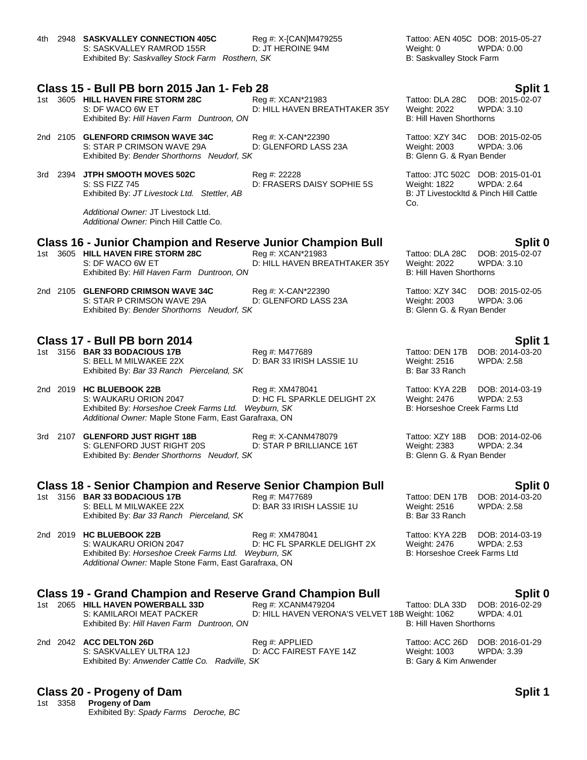4th 2948 **SASKVALLEY CONNECTION 405C** Reg #: X-[CAN]M479255 Tattoo: AEN 405C DOB: 2015-05-27 S: SASKVALLEY RAMROD 155R D: JT HEROINE 94M Weight: 0 WPDA: 0.00 Exhibited By: Saskvalley Stock Farm Rosthern, SK **B: Saskvalley Stock Farm** Posthern, SK

## **Class 15 - Bull PB born 2015 Jan 1- Feb 28 Split 1**

1st 3605 **HILL HAVEN FIRE STORM 28C** Reg #: XCAN\*21983 Tattoo: DLA 28C DOB: 2015-02-07 S: DF WACO 6W ET **D: HILL HAVEN BREATHTAKER 35Y** Weight: 2022 WPDA: 3.10 Exhibited By: *Hill Haven Farm Duntroon, ON* B: Hill Haven Shorthorns

2nd 2105 **GLENFORD CRIMSON WAVE 34C** Reg #: X-CAN\*22390 Tattoo: XZY 34C DOB: 2015-02-05 S: STAR P CRIMSON WAVE 29A Exhibited By: *Bender Shorthorns Neudorf, SK* B: Glenn G. & Ryan Bender

3rd 2394 **JTPH SMOOTH MOVES 502C** Reg #: 22228 Tattoo: JTC 502C DOB: 2015-01-01 S: SS FIZZ 745 D: FRASERS DAISY SOPHIE 5S Weight: 1822 WPDA: 2.64 Exhibited By: JT Livestock Ltd. Stettler, AB

*Additional Owner:* JT Livestock Ltd. *Additional Owner:* Pinch Hill Cattle Co.

## **Class 16 - Junior Champion and Reserve Junior Champion Bull Split 0**

1st 3605 **HILL HAVEN FIRE STORM 28C** Reg #: XCAN\*21983 Tattoo: DLA 28C DOB: 2015-02-07 S: DF WACO 6W ET **DIE HILL HAVEN BREATHTAKER 35Y** Weight: 2022 WPDA: 3.10 Exhibited By: *Hill Haven Farm Duntroon, ON* B: Hill Haven Shorthorns

2nd 2105 **GLENFORD CRIMSON WAVE 34C** Reg #: X-CAN\*22390 Tattoo: XZY 34C DOB: 2015-02-05 S: STAR P CRIMSON WAVE 29A D: GLENFORD LASS 23A Weight: 2003 WPDA: 3.06 Exhibited By: *Bender Shorthorns Neudorf, SK* B: Glenn G. & Ryan Bender

## **Class 17 - Bull PB born 2014 Split 1**

1st 3156 **BAR 33 BODACIOUS 17B** Reg #: M477689 **Tattoo: DEN 17B DOB: 2014-03-20** Reg #: M477689 Tattoo: DEN 17B DOB: 2014-03-20<br>S: BELL M MILWAKEE 22X D: BAR 33 IRISH LASSIE 1U Weight: 2516 WPDA: 2.58 S: BELL M MILWAKEE 22X D: BAR 33 IRISH LASSIE 1U Weight: 2516<br>Exhibited By: *Bar 33 Ranch Pierceland, SK* B: Bar 33 Ranch Exhibited By: *Bar 33 Ranch Pierceland. SK* 

2nd 2019 **HC BLUEBOOK 22B** Reg #: XM478041 Tattoo: KYA 22B DOB: 2014-03-19 S: WAUKARU ORION 2047 D: HC FL SPARKLE DELIGHT 2X Exhibited By: *Horseshoe Creek Farms Ltd. Weyburn, SK* B: Horseshoe Creek Farms Ltd *Additional Owner:* Maple Stone Farm, East Garafraxa, ON

3rd 2107 **GLENFORD JUST RIGHT 18B** Reg #: X-CANM478079 Tattoo: XZY 18B DOB: 2014-02-06 S: GLENFORD JUST RIGHT 20S D: STAR P BRILLIANCE 16T Weight: 2383 WPDA: 2.34 Exhibited By: *Bender Shorthorns Neudorf, SK* B: Glenn G. & Ryan Bender

# **Class 18 - Senior Champion and Reserve Senior Champion Bull Split 0**

1st 3156 **BAR 33 BODACIOUS 17B** Reg #: M477689 Tattoo: DEN 17B DOB: 2014-03-20 S: BELL M MILWAKEE 22X D: BAR 33 IRISH LASSIE 1U Weight: 2516 WPDA: 2.58 Exhibited By: *Bar 33 Ranch Pierceland, SK* B: Bar 33 Ranch

## 2nd 2019 **HC BLUEBOOK 22B** Reg #: XM478041 Tattoo: KYA 22B DOB: 2014-03-19 S: WAUKARU ORION 2047 **D: HC FL SPARKLE DELIGHT 2X** Weight: 2476 WPDA: 2.53<br>Exhibited By: Horseshoe Creek Farms Ltd. Weyburn, SK B: Horseshoe Creek Farms Ltd Exhibited By: *Horseshoe Creek Farms Ltd. Weyburn, SK Additional Owner:* Maple Stone Farm, East Garafraxa, ON

# **Class 19 - Grand Champion and Reserve Grand Champion Bull Split 0**

1st 2065 **HILL HAVEN POWERBALL 33D** Reg #: XCANM479204 Tattoo: DLA 33D DOB: 2016-02-29<br>S: KAMILAROI MEAT PACKER D: HILL HAVEN VERONA'S VELVET 18B Weight: 1062 WPDA: 4.01 D: HILL HAVEN VERONA'S VELVET 18B Weight: 1062 WPD<br>B: Hill Haven Shorthorns Exhibited By: *Hill Haven Farm Duntroon, ON* 

|  |  | 2nd 2042 <b>ACC DELTON 26D</b>                 | Reg #: APPLIED          |              | Tattoo: ACC 26D DOB: 2016-01-29 |  |
|--|--|------------------------------------------------|-------------------------|--------------|---------------------------------|--|
|  |  | S: SASKVALLEY ULTRA 12J                        | D: ACC FAIREST FAYE 14Z | Weight: 1003 | WPDA: 3.39                      |  |
|  |  | Exhibited By: Anwender Cattle Co. Radville, SK |                         |              | B: Gary & Kim Anwender          |  |

## **Class 20 - Progeny of Dam Split 1**

1st 3358 **Progeny of Dam** Exhibited By: *Spady Farms Deroche, BC*

Co.